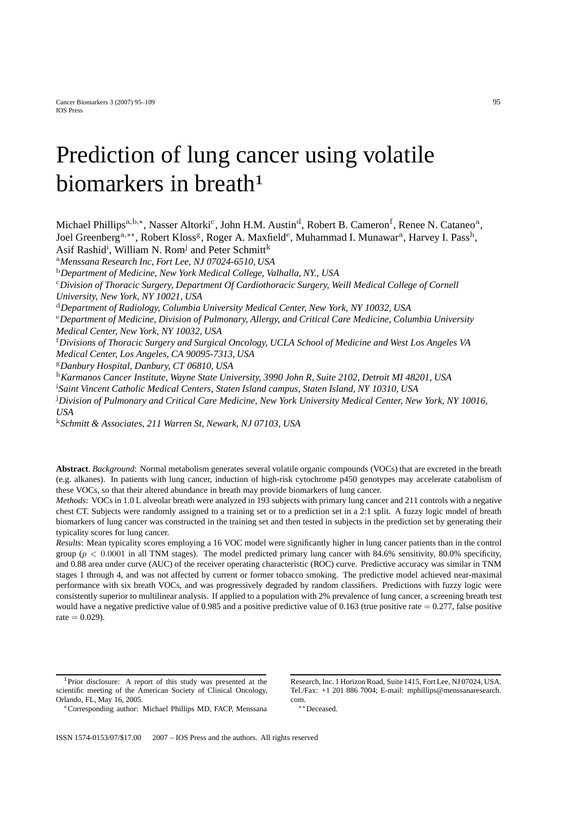# Prediction of lung cancer using volatile biomarkers in breath**<sup>1</sup>**

Michael Phillips<sup>a,b,∗</sup>, Nasser Altorki<sup>c</sup>, John H.M. Austin<sup>d</sup>, Robert B. Cameron<sup>f</sup>, Renee N. Cataneo<sup>a</sup>, Joel Greenberga*,*∗∗, Robert Klossg, Roger A. Maxfielde, Muhammad I. Munawara, Harvey I. Passh, Asif Rashid<sup>i</sup>, William N. Rom<sup>j</sup> and Peter Schmitt<sup>k</sup>

<sup>a</sup>*Menssana Research Inc, Fort Lee, NJ 07024-6510, USA*

<sup>b</sup>*Department of Medicine, New York Medical College, Valhalla, NY., USA*

<sup>c</sup>*Division of Thoracic Surgery, Department Of Cardiothoracic Surgery, Weill Medical College of Cornell University, New York, NY 10021, USA*

<sup>d</sup>*Department of Radiology, Columbia University Medical Center, New York, NY 10032, USA*

<sup>e</sup>*Department of Medicine, Division of Pulmonary, Allergy, and Critical Care Medicine, Columbia University Medical Center, New York, NY 10032, USA*

f *Divisions of Thoracic Surgery and Surgical Oncology, UCLA School of Medicine and West Los Angeles VA Medical Center, Los Angeles, CA 90095-7313, USA*

<sup>g</sup>*Danbury Hospital, Danbury, CT 06810, USA*

<sup>h</sup>*Karmanos Cancer Institute, Wayne State University, 3990 John R, Suite 2102, Detroit MI 48201, USA*

i *Saint Vincent Catholic Medical Centers, Staten Island campus, Staten Island, NY 10310, USA*

j *Division of Pulmonary and Critical Care Medicine, New York University Medical Center, New York, NY 10016, USA*

<sup>k</sup>*Schmitt & Associates, 211 Warren St, Newark, NJ 07103, USA*

**Abstract**. *Background*: Normal metabolism generates several volatile organic compounds (VOCs) that are excreted in the breath (e.g. alkanes). In patients with lung cancer, induction of high-risk cytochrome p450 genotypes may accelerate catabolism of these VOCs, so that their altered abundance in breath may provide biomarkers of lung cancer.

*Methods*: VOCs in 1.0 L alveolar breath were analyzed in 193 subjects with primary lung cancer and 211 controls with a negative chest CT. Subjects were randomly assigned to a training set or to a prediction set in a 2:1 split. A fuzzy logic model of breath biomarkers of lung cancer was constructed in the training set and then tested in subjects in the prediction set by generating their typicality scores for lung cancer.

*Results*: Mean typicality scores employing a 16 VOC model were significantly higher in lung cancer patients than in the control group ( $p < 0.0001$  in all TNM stages). The model predicted primary lung cancer with 84.6% sensitivity, 80.0% specificity, and 0.88 area under curve (AUC) of the receiver operating characteristic (ROC) curve. Predictive accuracy was similar in TNM stages 1 through 4, and was not affected by current or former tobacco smoking. The predictive model achieved near-maximal performance with six breath VOCs, and was progressively degraded by random classifiers. Predictions with fuzzy logic were consistently superior to multilinear analysis. If applied to a population with 2% prevalence of lung cancer, a screening breath test would have a negative predictive value of 0.985 and a positive predictive value of 0.163 (true positive rate  $= 0.277$ , false positive  $rate = 0.029$ .

Research, Inc. 1 Horizon Road, Suite 1415, Fort Lee, NJ 07024, USA. Tel./Fax: +1 201 886 7004; E-mail: mphillips@menssanaresearch. com.

∗∗Deceased.

<sup>&</sup>lt;sup>1</sup>Prior disclosure: A report of this study was presented at the scientific meeting of the American Society of Clinical Oncology, Orlando, FL, May 16, 2005.

<sup>∗</sup>Corresponding author: Michael Phillips MD, FACP, Menssana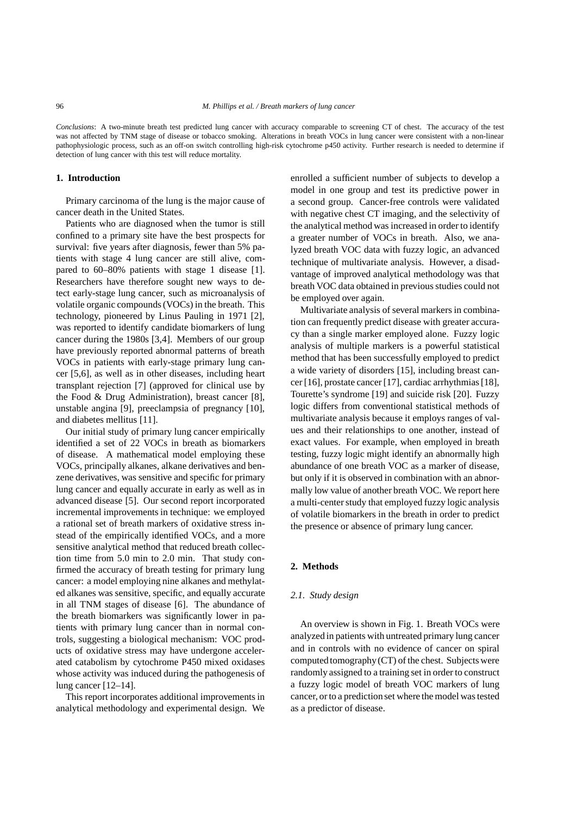*Conclusions*: A two-minute breath test predicted lung cancer with accuracy comparable to screening CT of chest. The accuracy of the test was not affected by TNM stage of disease or tobacco smoking. Alterations in breath VOCs in lung cancer were consistent with a non-linear pathophysiologic process, such as an off-on switch controlling high-risk cytochrome p450 activity. Further research is needed to determine if detection of lung cancer with this test will reduce mortality.

#### **1. Introduction**

Primary carcinoma of the lung is the major cause of cancer death in the United States.

Patients who are diagnosed when the tumor is still confined to a primary site have the best prospects for survival: five years after diagnosis, fewer than 5% patients with stage 4 lung cancer are still alive, compared to 60–80% patients with stage 1 disease [1]. Researchers have therefore sought new ways to detect early-stage lung cancer, such as microanalysis of volatile organic compounds (VOCs) in the breath. This technology, pioneered by Linus Pauling in 1971 [2], was reported to identify candidate biomarkers of lung cancer during the 1980s [3,4]. Members of our group have previously reported abnormal patterns of breath VOCs in patients with early-stage primary lung cancer [5,6], as well as in other diseases, including heart transplant rejection [7] (approved for clinical use by the Food & Drug Administration), breast cancer [8], unstable angina [9], preeclampsia of pregnancy [10], and diabetes mellitus [11].

Our initial study of primary lung cancer empirically identified a set of 22 VOCs in breath as biomarkers of disease. A mathematical model employing these VOCs, principally alkanes, alkane derivatives and benzene derivatives, was sensitive and specific for primary lung cancer and equally accurate in early as well as in advanced disease [5]. Our second report incorporated incremental improvements in technique: we employed a rational set of breath markers of oxidative stress instead of the empirically identified VOCs, and a more sensitive analytical method that reduced breath collection time from 5.0 min to 2.0 min. That study confirmed the accuracy of breath testing for primary lung cancer: a model employing nine alkanes and methylated alkanes was sensitive, specific, and equally accurate in all TNM stages of disease [6]. The abundance of the breath biomarkers was significantly lower in patients with primary lung cancer than in normal controls, suggesting a biological mechanism: VOC products of oxidative stress may have undergone accelerated catabolism by cytochrome P450 mixed oxidases whose activity was induced during the pathogenesis of lung cancer [12–14].

This report incorporates additional improvements in analytical methodology and experimental design. We

enrolled a sufficient number of subjects to develop a model in one group and test its predictive power in a second group. Cancer-free controls were validated with negative chest CT imaging, and the selectivity of the analytical method was increased in order to identify a greater number of VOCs in breath. Also, we analyzed breath VOC data with fuzzy logic, an advanced technique of multivariate analysis. However, a disadvantage of improved analytical methodology was that breath VOC data obtained in previous studies could not be employed over again.

Multivariate analysis of several markers in combination can frequently predict disease with greater accuracy than a single marker employed alone. Fuzzy logic analysis of multiple markers is a powerful statistical method that has been successfully employed to predict a wide variety of disorders [15], including breast cancer [16], prostate cancer [17], cardiac arrhythmias [18], Tourette's syndrome [19] and suicide risk [20]. Fuzzy logic differs from conventional statistical methods of multivariate analysis because it employs ranges of values and their relationships to one another, instead of exact values. For example, when employed in breath testing, fuzzy logic might identify an abnormally high abundance of one breath VOC as a marker of disease, but only if it is observed in combination with an abnormally low value of another breath VOC. We report here a multi-center study that employed fuzzy logic analysis of volatile biomarkers in the breath in order to predict the presence or absence of primary lung cancer.

# **2. Methods**

#### *2.1. Study design*

An overview is shown in Fig. 1. Breath VOCs were analyzed in patients with untreated primary lung cancer and in controls with no evidence of cancer on spiral computed tomography(CT) of the chest. Subjects were randomly assigned to a training set in order to construct a fuzzy logic model of breath VOC markers of lung cancer, or to a prediction set where the model was tested as a predictor of disease.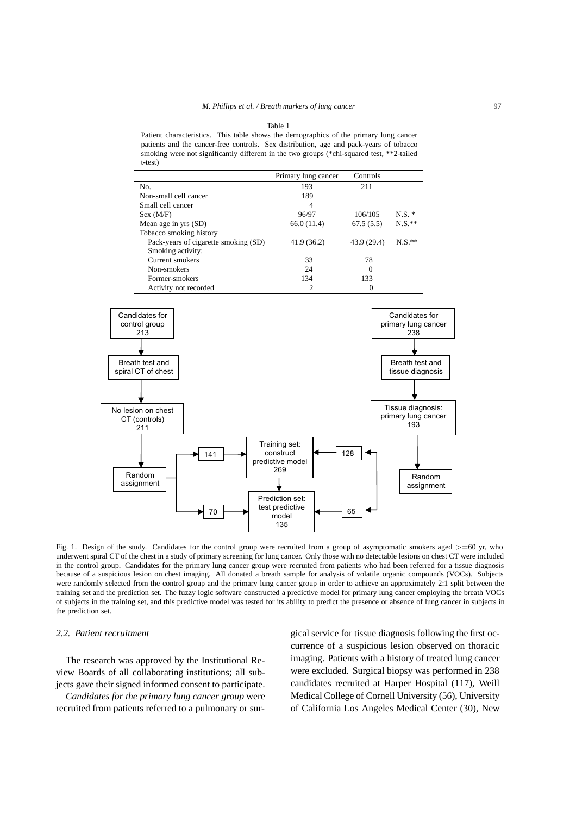| I<br>. .<br>۰. | $\sim$ |
|----------------|--------|
|                |        |

Patient characteristics. This table shows the demographics of the primary lung cancer patients and the cancer-free controls. Sex distribution, age and pack-years of tobacco smoking were not significantly different in the two groups (\*chi-squared test, \*\*2-tailed t-test)

|                                      | Primary lung cancer | Controls    |          |
|--------------------------------------|---------------------|-------------|----------|
| No.                                  | 193                 | 211         |          |
| Non-small cell cancer                | 189                 |             |          |
| Small cell cancer                    | 4                   |             |          |
| Sex (M/F)                            | 96/97               | 106/105     | $N.S.$ * |
| Mean age in yrs (SD)                 | 66.0 (11.4)         | 67.5(5.5)   | $N.S.**$ |
| Tobacco smoking history              |                     |             |          |
| Pack-years of cigarette smoking (SD) | 41.9(36.2)          | 43.9 (29.4) | $N.S.**$ |
| Smoking activity:                    |                     |             |          |
| Current smokers                      | 33                  | 78          |          |
| Non-smokers                          | 24                  | 0           |          |
| Former-smokers                       | 134                 | 133         |          |
| Activity not recorded                | 2                   |             |          |



Fig. 1. Design of the study. Candidates for the control group were recruited from a group of asymptomatic smokers aged *>*=60 yr, who underwent spiral CT of the chest in a study of primary screening for lung cancer. Only those with no detectable lesions on chest CT were included in the control group. Candidates for the primary lung cancer group were recruited from patients who had been referred for a tissue diagnosis because of a suspicious lesion on chest imaging. All donated a breath sample for analysis of volatile organic compounds (VOCs). Subjects were randomly selected from the control group and the primary lung cancer group in order to achieve an approximately 2:1 split between the training set and the prediction set. The fuzzy logic software constructed a predictive model for primary lung cancer employing the breath VOCs of subjects in the training set, and this predictive model was tested for its ability to predict the presence or absence of lung cancer in subjects in the prediction set.

#### *2.2. Patient recruitment*

The research was approved by the Institutional Review Boards of all collaborating institutions; all subjects gave their signed informed consent to participate.

*Candidates for the primary lung cancer group* were recruited from patients referred to a pulmonary or surgical service for tissue diagnosis following the first occurrence of a suspicious lesion observed on thoracic imaging. Patients with a history of treated lung cancer were excluded. Surgical biopsy was performed in 238 candidates recruited at Harper Hospital (117), Weill Medical College of Cornell University (56), University of California Los Angeles Medical Center (30), New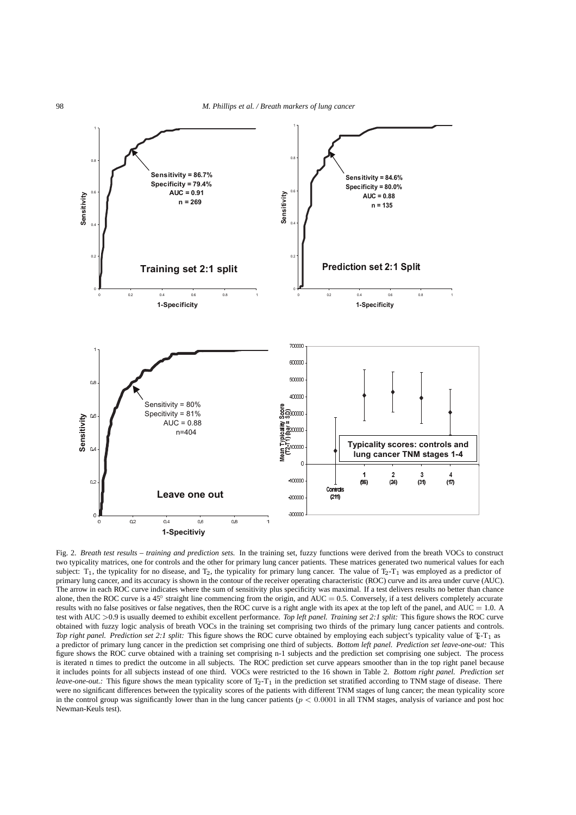

Fig. 2. *Breath test results – training and prediction sets.* In the training set, fuzzy functions were derived from the breath VOCs to construct two typicality matrices, one for controls and the other for primary lung cancer patients. These matrices generated two numerical values for each subject:  $T_1$ , the typicality for no disease, and  $T_2$ , the typicality for primary lung cancer. The value of  $T_2$ - $T_1$  was employed as a predictor of primary lung cancer, and its accuracy is shown in the contour of the receiver operating characteristic (ROC) curve and its area under curve (AUC). The arrow in each ROC curve indicates where the sum of sensitivity plus specificity was maximal. If a test delivers results no better than chance alone, then the ROC curve is a 45◦ straight line commencing from the origin, and AUC = 0.5. Conversely, if a test delivers completely accurate results with no false positives or false negatives, then the ROC curve is a right angle with its apex at the top left of the panel, and  $AUC = 1.0$ . A test with AUC *>*0.9 is usually deemed to exhibit excellent performance. *Top left panel. Training set 2:1 split:* This figure shows the ROC curve obtained with fuzzy logic analysis of breath VOCs in the training set comprising two thirds of the primary lung cancer patients and controls. *Top right panel. Prediction set 2:1 split:* This figure shows the ROC curve obtained by employing each subject's typicality value of  $\Sigma$ -T<sub>1</sub> as a predictor of primary lung cancer in the prediction set comprising one third of subjects. *Bottom left panel. Prediction set leave-one-out:* This figure shows the ROC curve obtained with a training set comprising n-1 subjects and the prediction set comprising one subject. The process is iterated n times to predict the outcome in all subjects. The ROC prediction set curve appears smoother than in the top right panel because it includes points for all subjects instead of one third. VOCs were restricted to the 16 shown in Table 2. *Bottom right panel. Prediction set leave-one-out.*: This figure shows the mean typicality score of T<sub>2</sub>-T<sub>1</sub> in the prediction set stratified according to TNM stage of disease. There were no significant differences between the typicality scores of the patients with different TNM stages of lung cancer; the mean typicality score in the control group was significantly lower than in the lung cancer patients (*p <* 0*.*0001 in all TNM stages, analysis of variance and post hoc Newman-Keuls test).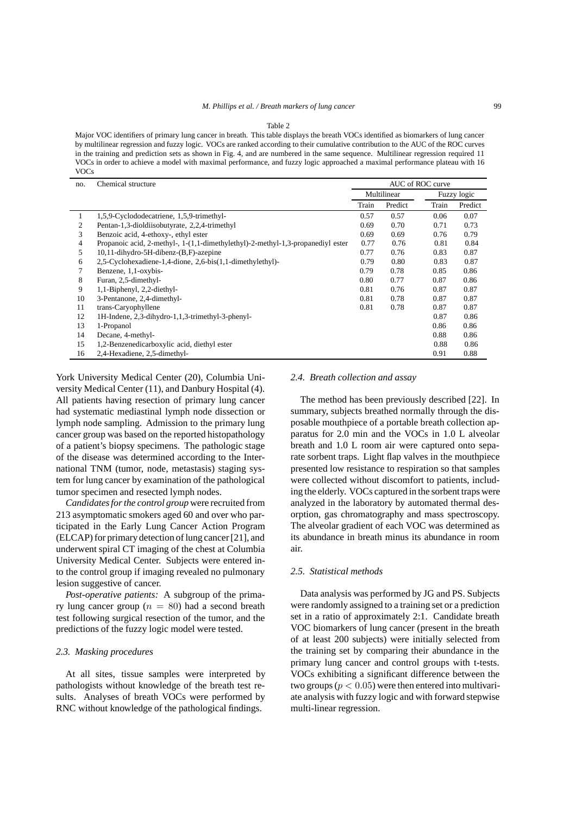Table 2

Major VOC identifiers of primary lung cancer in breath. This table displays the breath VOCs identified as biomarkers of lung cancer by multilinear regression and fuzzy logic. VOCs are ranked according to their cumulative contribution to the AUC of the ROC curves in the training and prediction sets as shown in Fig. 4, and are numbered in the same sequence. Multilinear regression required 11 VOCs in order to achieve a model with maximal performance, and fuzzy logic approached a maximal performance plateau with 16 VOCs

| no.            | Chemical structure                                                              | AUC of ROC curve |         |       |             |  |
|----------------|---------------------------------------------------------------------------------|------------------|---------|-------|-------------|--|
|                |                                                                                 | Multilinear      |         |       | Fuzzy logic |  |
|                |                                                                                 | Train            | Predict | Train | Predict     |  |
| 1              | 1,5,9-Cyclododecatriene, 1,5,9-trimethyl-                                       | 0.57             | 0.57    | 0.06  | 0.07        |  |
| 2              | Pentan-1,3-dioldiisobutyrate, 2,2,4-trimethyl                                   | 0.69             | 0.70    | 0.71  | 0.73        |  |
| 3              | Benzoic acid, 4-ethoxy-, ethyl ester                                            | 0.69             | 0.69    | 0.76  | 0.79        |  |
| $\overline{4}$ | Propanoic acid, 2-methyl-, 1-(1,1-dimethylethyl)-2-methyl-1,3-propanediyl ester | 0.77             | 0.76    | 0.81  | 0.84        |  |
| 5              | 10,11-dihydro-5H-dibenz-(B,F)-azepine                                           | 0.77             | 0.76    | 0.83  | 0.87        |  |
| 6              | 2,5-Cyclohexadiene-1,4-dione, 2,6-bis(1,1-dimethylethyl)-                       | 0.79             | 0.80    | 0.83  | 0.87        |  |
|                | Benzene, 1,1-oxybis-                                                            | 0.79             | 0.78    | 0.85  | 0.86        |  |
| 8              | Furan, 2,5-dimethyl-                                                            | 0.80             | 0.77    | 0.87  | 0.86        |  |
| 9              | 1,1-Biphenyl, 2,2-diethyl-                                                      | 0.81             | 0.76    | 0.87  | 0.87        |  |
| 10             | 3-Pentanone, 2,4-dimethyl-                                                      | 0.81             | 0.78    | 0.87  | 0.87        |  |
| 11             | trans-Caryophyllene                                                             | 0.81             | 0.78    | 0.87  | 0.87        |  |
| 12             | 1H-Indene, 2,3-dihydro-1,1,3-trimethyl-3-phenyl-                                |                  |         | 0.87  | 0.86        |  |
| 13             | 1-Propanol                                                                      |                  |         | 0.86  | 0.86        |  |
| 14             | Decane, 4-methyl-                                                               |                  |         | 0.88  | 0.86        |  |
| 15             | 1,2-Benzenedicarboxylic acid, diethyl ester                                     |                  |         | 0.88  | 0.86        |  |
| 16             | 2,4-Hexadiene, 2,5-dimethyl-                                                    |                  |         | 0.91  | 0.88        |  |

York University Medical Center (20), Columbia University Medical Center (11), and Danbury Hospital (4). All patients having resection of primary lung cancer had systematic mediastinal lymph node dissection or lymph node sampling. Admission to the primary lung cancer group was based on the reported histopathology of a patient's biopsy specimens. The pathologic stage of the disease was determined according to the International TNM (tumor, node, metastasis) staging system for lung cancer by examination of the pathological tumor specimen and resected lymph nodes.

*Candidates for the control group* were recruited from 213 asymptomatic smokers aged 60 and over who participated in the Early Lung Cancer Action Program (ELCAP) for primary detection of lung cancer [21], and underwent spiral CT imaging of the chest at Columbia University Medical Center. Subjects were entered into the control group if imaging revealed no pulmonary lesion suggestive of cancer.

*Post-operative patients:* A subgroup of the primary lung cancer group  $(n = 80)$  had a second breath test following surgical resection of the tumor, and the predictions of the fuzzy logic model were tested.

# *2.3. Masking procedures*

At all sites, tissue samples were interpreted by pathologists without knowledge of the breath test results. Analyses of breath VOCs were performed by RNC without knowledge of the pathological findings.

#### *2.4. Breath collection and assay*

The method has been previously described [22]. In summary, subjects breathed normally through the disposable mouthpiece of a portable breath collection apparatus for 2.0 min and the VOCs in 1.0 L alveolar breath and 1.0 L room air were captured onto separate sorbent traps. Light flap valves in the mouthpiece presented low resistance to respiration so that samples were collected without discomfort to patients, including the elderly. VOCs captured in the sorbent traps were analyzed in the laboratory by automated thermal desorption, gas chromatography and mass spectroscopy. The alveolar gradient of each VOC was determined as its abundance in breath minus its abundance in room air.

# *2.5. Statistical methods*

Data analysis was performed by JG and PS. Subjects were randomly assigned to a training set or a prediction set in a ratio of approximately 2:1. Candidate breath VOC biomarkers of lung cancer (present in the breath of at least 200 subjects) were initially selected from the training set by comparing their abundance in the primary lung cancer and control groups with t-tests. VOCs exhibiting a significant difference between the two groups ( $p < 0.05$ ) were then entered into multivariate analysis with fuzzy logic and with forward stepwise multi-linear regression.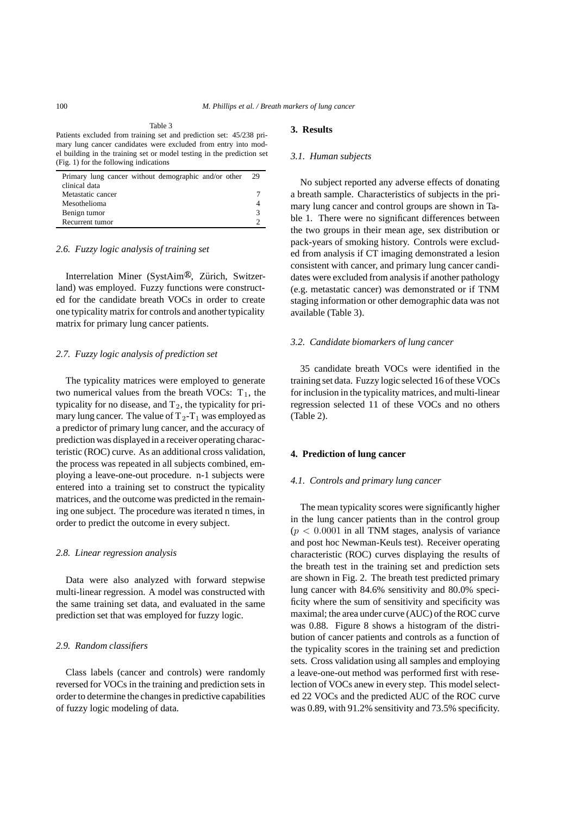Table 3

| Primary lung cancer without demographic and/or other | 29 |
|------------------------------------------------------|----|
| clinical data                                        |    |
| Metastatic cancer                                    |    |
| Mesothelioma                                         |    |
| Benign tumor                                         | з  |
| Recurrent tumor                                      |    |

# *2.6. Fuzzy logic analysis of training set*

Interrelation Miner (SystAim®, Zürich, Switzerland) was employed. Fuzzy functions were constructed for the candidate breath VOCs in order to create one typicality matrix for controls and another typicality matrix for primary lung cancer patients.

# *2.7. Fuzzy logic analysis of prediction set*

The typicality matrices were employed to generate two numerical values from the breath VOCs:  $T_1$ , the typicality for no disease, and  $T_2$ , the typicality for primary lung cancer. The value of  $T_2-T_1$  was employed as a predictor of primary lung cancer, and the accuracy of prediction was displayed in a receiver operating characteristic (ROC) curve. As an additional cross validation, the process was repeated in all subjects combined, employing a leave-one-out procedure. n-1 subjects were entered into a training set to construct the typicality matrices, and the outcome was predicted in the remaining one subject. The procedure was iterated n times, in order to predict the outcome in every subject.

#### *2.8. Linear regression analysis*

Data were also analyzed with forward stepwise multi-linear regression. A model was constructed with the same training set data, and evaluated in the same prediction set that was employed for fuzzy logic.

#### *2.9. Random classifiers*

Class labels (cancer and controls) were randomly reversed for VOCs in the training and prediction sets in order to determine the changes in predictive capabilities of fuzzy logic modeling of data.

# **3. Results**

#### *3.1. Human subjects*

No subject reported any adverse effects of donating a breath sample. Characteristics of subjects in the primary lung cancer and control groups are shown in Table 1. There were no significant differences between the two groups in their mean age, sex distribution or pack-years of smoking history. Controls were excluded from analysis if CT imaging demonstrated a lesion consistent with cancer, and primary lung cancer candidates were excluded from analysis if another pathology (e.g. metastatic cancer) was demonstrated or if TNM staging information or other demographic data was not available (Table 3).

# *3.2. Candidate biomarkers of lung cancer*

35 candidate breath VOCs were identified in the training set data. Fuzzy logic selected 16 of these VOCs for inclusion in the typicality matrices, and multi-linear regression selected 11 of these VOCs and no others (Table 2).

# **4. Prediction of lung cancer**

#### *4.1. Controls and primary lung cancer*

The mean typicality scores were significantly higher in the lung cancer patients than in the control group (*p <* 0*.*0001 in all TNM stages, analysis of variance and post hoc Newman-Keuls test). Receiver operating characteristic (ROC) curves displaying the results of the breath test in the training set and prediction sets are shown in Fig. 2. The breath test predicted primary lung cancer with 84.6% sensitivity and 80.0% specificity where the sum of sensitivity and specificity was maximal; the area under curve (AUC) of the ROC curve was 0.88. Figure 8 shows a histogram of the distribution of cancer patients and controls as a function of the typicality scores in the training set and prediction sets. Cross validation using all samples and employing a leave-one-out method was performed first with reselection of VOCs anew in every step. This model selected 22 VOCs and the predicted AUC of the ROC curve was 0.89, with 91.2% sensitivity and 73.5% specificity.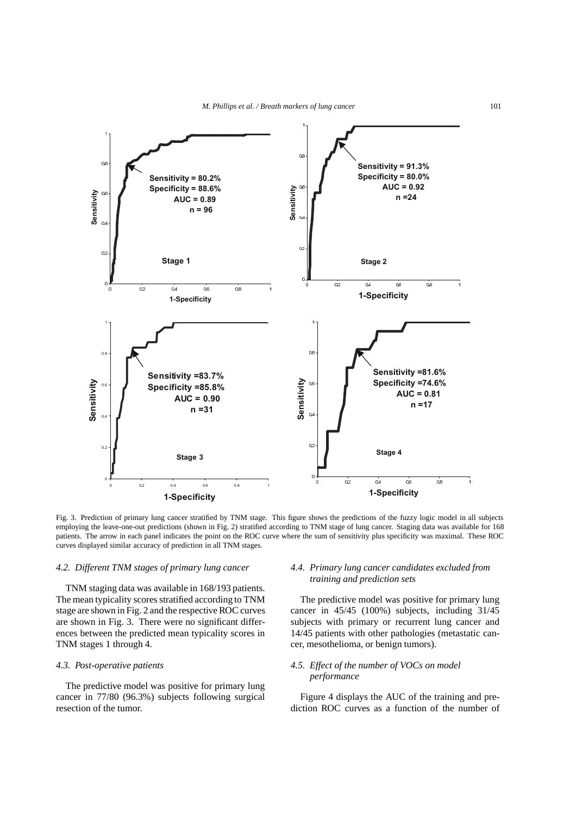

Fig. 3. Prediction of primary lung cancer stratified by TNM stage. This figure shows the predictions of the fuzzy logic model in all subjects employing the leave-one-out predictions (shown in Fig. 2) stratified according to TNM stage of lung cancer. Staging data was available for 168 patients. The arrow in each panel indicates the point on the ROC curve where the sum of sensitivity plus specificity was maximal. These ROC curves displayed similar accuracy of prediction in all TNM stages.

#### *4.2. Different TNM stages of primary lung cancer*

TNM staging data was available in 168/193 patients. The mean typicality scores stratified according to TNM stage are shown in Fig. 2 and the respective ROC curves are shown in Fig. 3. There were no significant differences between the predicted mean typicality scores in TNM stages 1 through 4.

# *4.3. Post-operative patients*

The predictive model was positive for primary lung cancer in 77/80 (96.3%) subjects following surgical resection of the tumor.

# *4.4. Primary lung cancer candidates excluded from training and prediction sets*

The predictive model was positive for primary lung cancer in 45/45 (100%) subjects, including 31/45 subjects with primary or recurrent lung cancer and 14/45 patients with other pathologies (metastatic cancer, mesothelioma, or benign tumors).

# *4.5. Effect of the number of VOCs on model performance*

Figure 4 displays the AUC of the training and prediction ROC curves as a function of the number of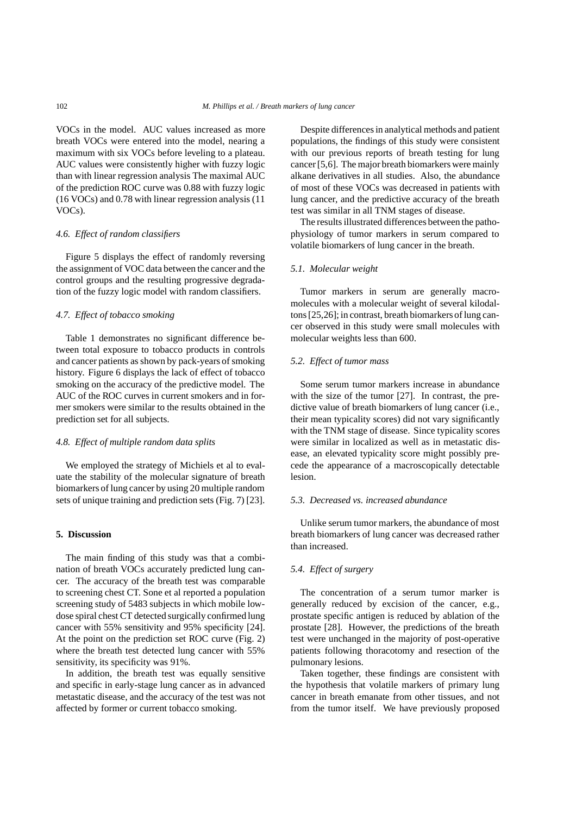VOCs in the model. AUC values increased as more breath VOCs were entered into the model, nearing a maximum with six VOCs before leveling to a plateau. AUC values were consistently higher with fuzzy logic than with linear regression analysis The maximal AUC of the prediction ROC curve was 0.88 with fuzzy logic (16 VOCs) and 0.78 with linear regression analysis (11 VOCs).

# *4.6. Effect of random classifiers*

Figure 5 displays the effect of randomly reversing the assignment of VOC data between the cancer and the control groups and the resulting progressive degradation of the fuzzy logic model with random classifiers.

# *4.7. Effect of tobacco smoking*

Table 1 demonstrates no significant difference between total exposure to tobacco products in controls and cancer patients as shown by pack-years of smoking history. Figure 6 displays the lack of effect of tobacco smoking on the accuracy of the predictive model. The AUC of the ROC curves in current smokers and in former smokers were similar to the results obtained in the prediction set for all subjects.

# *4.8. Effect of multiple random data splits*

We employed the strategy of Michiels et al to evaluate the stability of the molecular signature of breath biomarkers of lung cancer by using 20 multiple random sets of unique training and prediction sets (Fig. 7) [23].

#### **5. Discussion**

The main finding of this study was that a combination of breath VOCs accurately predicted lung cancer. The accuracy of the breath test was comparable to screening chest CT. Sone et al reported a population screening study of 5483 subjects in which mobile lowdose spiral chest CT detected surgically confirmed lung cancer with 55% sensitivity and 95% specificity [24]. At the point on the prediction set ROC curve (Fig. 2) where the breath test detected lung cancer with 55% sensitivity, its specificity was 91%.

In addition, the breath test was equally sensitive and specific in early-stage lung cancer as in advanced metastatic disease, and the accuracy of the test was not affected by former or current tobacco smoking.

Despite differences in analytical methods and patient populations, the findings of this study were consistent with our previous reports of breath testing for lung cancer [5,6]. The major breath biomarkers were mainly alkane derivatives in all studies. Also, the abundance of most of these VOCs was decreased in patients with lung cancer, and the predictive accuracy of the breath test was similar in all TNM stages of disease.

The results illustrated differences between the pathophysiology of tumor markers in serum compared to volatile biomarkers of lung cancer in the breath.

# *5.1. Molecular weight*

Tumor markers in serum are generally macromolecules with a molecular weight of several kilodaltons [25,26]; in contrast, breath biomarkers of lung cancer observed in this study were small molecules with molecular weights less than 600.

# *5.2. Effect of tumor mass*

Some serum tumor markers increase in abundance with the size of the tumor [27]. In contrast, the predictive value of breath biomarkers of lung cancer (i.e., their mean typicality scores) did not vary significantly with the TNM stage of disease. Since typicality scores were similar in localized as well as in metastatic disease, an elevated typicality score might possibly precede the appearance of a macroscopically detectable lesion.

# *5.3. Decreased vs. increased abundance*

Unlike serum tumor markers, the abundance of most breath biomarkers of lung cancer was decreased rather than increased.

# *5.4. Effect of surgery*

The concentration of a serum tumor marker is generally reduced by excision of the cancer, e.g., prostate specific antigen is reduced by ablation of the prostate [28]. However, the predictions of the breath test were unchanged in the majority of post-operative patients following thoracotomy and resection of the pulmonary lesions.

Taken together, these findings are consistent with the hypothesis that volatile markers of primary lung cancer in breath emanate from other tissues, and not from the tumor itself. We have previously proposed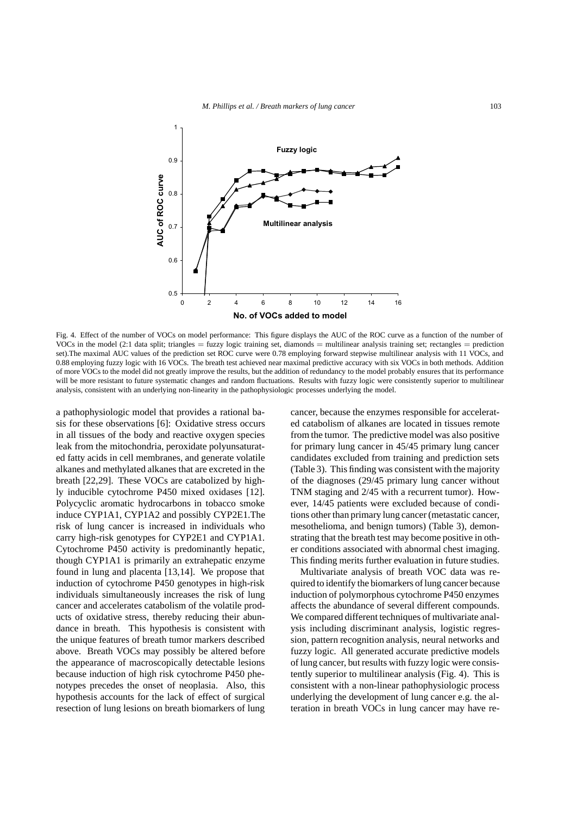

Fig. 4. Effect of the number of VOCs on model performance: This figure displays the AUC of the ROC curve as a function of the number of VOCs in the model (2:1 data split; triangles = fuzzy logic training set, diamonds = multilinear analysis training set; rectangles = prediction set).The maximal AUC values of the prediction set ROC curve were 0.78 employing forward stepwise multilinear analysis with 11 VOCs, and 0.88 employing fuzzy logic with 16 VOCs. The breath test achieved near maximal predictive accuracy with six VOCs in both methods. Addition of more VOCs to the model did not greatly improve the results, but the addition of redundancy to the model probably ensures that its performance will be more resistant to future systematic changes and random fluctuations. Results with fuzzy logic were consistently superior to multilinear analysis, consistent with an underlying non-linearity in the pathophysiologic processes underlying the model.

a pathophysiologic model that provides a rational basis for these observations [6]: Oxidative stress occurs in all tissues of the body and reactive oxygen species leak from the mitochondria, peroxidate polyunsaturated fatty acids in cell membranes, and generate volatile alkanes and methylated alkanes that are excreted in the breath [22,29]. These VOCs are catabolized by highly inducible cytochrome P450 mixed oxidases [12]. Polycyclic aromatic hydrocarbons in tobacco smoke induce CYP1A1, CYP1A2 and possibly CYP2E1.The risk of lung cancer is increased in individuals who carry high-risk genotypes for CYP2E1 and CYP1A1. Cytochrome P450 activity is predominantly hepatic, though CYP1A1 is primarily an extrahepatic enzyme found in lung and placenta [13,14]. We propose that induction of cytochrome P450 genotypes in high-risk individuals simultaneously increases the risk of lung cancer and accelerates catabolism of the volatile products of oxidative stress, thereby reducing their abundance in breath. This hypothesis is consistent with the unique features of breath tumor markers described above. Breath VOCs may possibly be altered before the appearance of macroscopically detectable lesions because induction of high risk cytochrome P450 phenotypes precedes the onset of neoplasia. Also, this hypothesis accounts for the lack of effect of surgical resection of lung lesions on breath biomarkers of lung

cancer, because the enzymes responsible for accelerated catabolism of alkanes are located in tissues remote from the tumor. The predictive model was also positive for primary lung cancer in 45/45 primary lung cancer candidates excluded from training and prediction sets (Table 3). This finding was consistent with the majority of the diagnoses (29/45 primary lung cancer without TNM staging and 2/45 with a recurrent tumor). However, 14/45 patients were excluded because of conditions other than primary lung cancer (metastatic cancer, mesothelioma, and benign tumors) (Table 3), demonstrating that the breath test may become positive in other conditions associated with abnormal chest imaging. This finding merits further evaluation in future studies.

Multivariate analysis of breath VOC data was required to identify the biomarkers of lung cancer because induction of polymorphous cytochrome P450 enzymes affects the abundance of several different compounds. We compared different techniques of multivariate analysis including discriminant analysis, logistic regression, pattern recognition analysis, neural networks and fuzzy logic. All generated accurate predictive models of lung cancer, but results with fuzzy logic were consistently superior to multilinear analysis (Fig. 4). This is consistent with a non-linear pathophysiologic process underlying the development of lung cancer e.g. the alteration in breath VOCs in lung cancer may have re-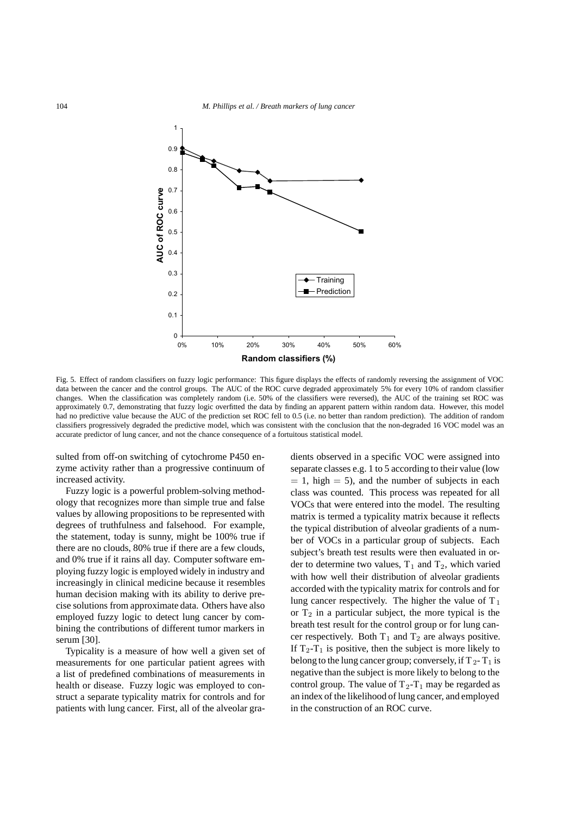

Fig. 5. Effect of random classifiers on fuzzy logic performance: This figure displays the effects of randomly reversing the assignment of VOC data between the cancer and the control groups. The AUC of the ROC curve degraded approximately 5% for every 10% of random classifier changes. When the classification was completely random (i.e. 50% of the classifiers were reversed), the AUC of the training set ROC was approximately 0.7, demonstrating that fuzzy logic overfitted the data by finding an apparent pattern within random data. However, this model had no predictive value because the AUC of the prediction set ROC fell to 0.5 (i.e. no better than random prediction). The addition of random classifiers progressively degraded the predictive model, which was consistent with the conclusion that the non-degraded 16 VOC model was an accurate predictor of lung cancer, and not the chance consequence of a fortuitous statistical model.

sulted from off-on switching of cytochrome P450 enzyme activity rather than a progressive continuum of increased activity.

Fuzzy logic is a powerful problem-solving methodology that recognizes more than simple true and false values by allowing propositions to be represented with degrees of truthfulness and falsehood. For example, the statement, today is sunny, might be 100% true if there are no clouds, 80% true if there are a few clouds, and 0% true if it rains all day. Computer software employing fuzzy logic is employed widely in industry and increasingly in clinical medicine because it resembles human decision making with its ability to derive precise solutions from approximate data. Others have also employed fuzzy logic to detect lung cancer by combining the contributions of different tumor markers in serum [30].

Typicality is a measure of how well a given set of measurements for one particular patient agrees with a list of predefined combinations of measurements in health or disease. Fuzzy logic was employed to construct a separate typicality matrix for controls and for patients with lung cancer. First, all of the alveolar gradients observed in a specific VOC were assigned into separate classes e.g. 1 to 5 according to their value (low  $= 1$ , high  $= 5$ ), and the number of subjects in each class was counted. This process was repeated for all VOCs that were entered into the model. The resulting matrix is termed a typicality matrix because it reflects the typical distribution of alveolar gradients of a number of VOCs in a particular group of subjects. Each subject's breath test results were then evaluated in order to determine two values,  $T_1$  and  $T_2$ , which varied with how well their distribution of alveolar gradients accorded with the typicality matrix for controls and for lung cancer respectively. The higher the value of  $T_1$ or  $T_2$  in a particular subject, the more typical is the breath test result for the control group or for lung cancer respectively. Both  $T_1$  and  $T_2$  are always positive. If  $T_2-T_1$  is positive, then the subject is more likely to belong to the lung cancer group; conversely, if  $T_2 - T_1$  is negative than the subject is more likely to belong to the control group. The value of  $T_2-T_1$  may be regarded as an index of the likelihood of lung cancer, and employed in the construction of an ROC curve.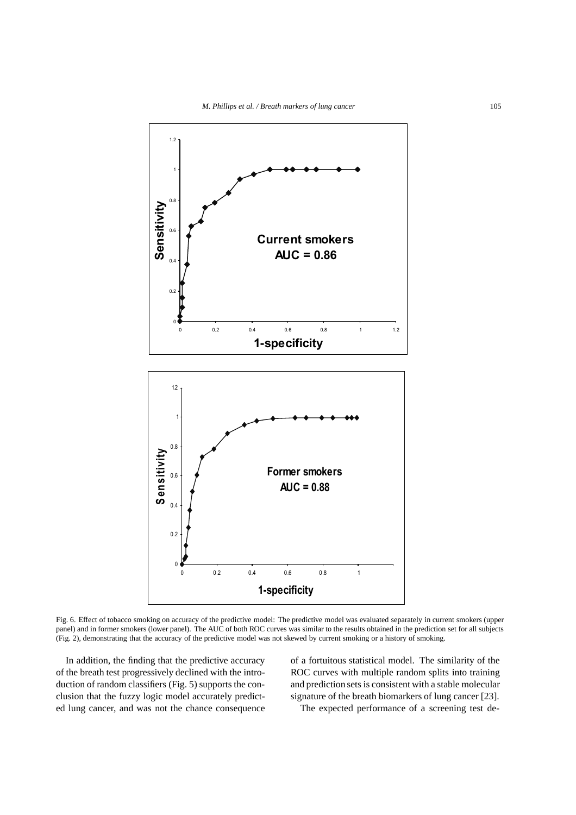

Fig. 6. Effect of tobacco smoking on accuracy of the predictive model: The predictive model was evaluated separately in current smokers (upper panel) and in former smokers (lower panel). The AUC of both ROC curves was similar to the results obtained in the prediction set for all subjects (Fig. 2), demonstrating that the accuracy of the predictive model was not skewed by current smoking or a history of smoking.

In addition, the finding that the predictive accuracy of the breath test progressively declined with the introduction of random classifiers (Fig. 5) supports the conclusion that the fuzzy logic model accurately predicted lung cancer, and was not the chance consequence of a fortuitous statistical model. The similarity of the ROC curves with multiple random splits into training and prediction sets is consistent with a stable molecular signature of the breath biomarkers of lung cancer [23].

The expected performance of a screening test de-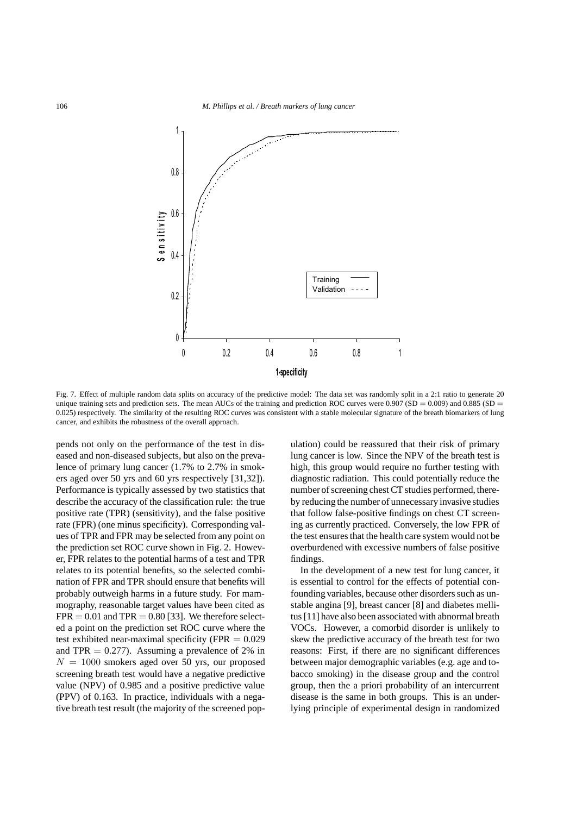

Fig. 7. Effect of multiple random data splits on accuracy of the predictive model: The data set was randomly split in a 2:1 ratio to generate 20 unique training sets and prediction sets. The mean AUCs of the training and prediction ROC curves were  $0.907$  (SD =  $0.009$ ) and  $0.885$  (SD = 0.025) respectively. The similarity of the resulting ROC curves was consistent with a stable molecular signature of the breath biomarkers of lung cancer, and exhibits the robustness of the overall approach.

pends not only on the performance of the test in diseased and non-diseased subjects, but also on the prevalence of primary lung cancer (1.7% to 2.7% in smokers aged over 50 yrs and 60 yrs respectively [31,32]). Performance is typically assessed by two statistics that describe the accuracy of the classification rule: the true positive rate (TPR) (sensitivity), and the false positive rate (FPR) (one minus specificity). Corresponding values of TPR and FPR may be selected from any point on the prediction set ROC curve shown in Fig. 2. However, FPR relates to the potential harms of a test and TPR relates to its potential benefits, so the selected combination of FPR and TPR should ensure that benefits will probably outweigh harms in a future study. For mammography, reasonable target values have been cited as  $FPR = 0.01$  and  $TPR = 0.80$  [33]. We therefore selected a point on the prediction set ROC curve where the test exhibited near-maximal specificity (FPR  $= 0.029$ and TPR  $= 0.277$ ). Assuming a prevalence of 2% in  $N = 1000$  smokers aged over 50 yrs, our proposed screening breath test would have a negative predictive value (NPV) of 0.985 and a positive predictive value (PPV) of 0.163. In practice, individuals with a negative breath test result (the majority of the screened population) could be reassured that their risk of primary lung cancer is low. Since the NPV of the breath test is high, this group would require no further testing with diagnostic radiation. This could potentially reduce the number of screening chest CT studies performed, thereby reducing the number of unnecessary invasive studies that follow false-positive findings on chest CT screening as currently practiced. Conversely, the low FPR of the test ensures that the health care system would not be overburdened with excessive numbers of false positive findings.

In the development of a new test for lung cancer, it is essential to control for the effects of potential confounding variables, because other disorders such as unstable angina [9], breast cancer [8] and diabetes mellitus [11] have also been associated with abnormal breath VOCs. However, a comorbid disorder is unlikely to skew the predictive accuracy of the breath test for two reasons: First, if there are no significant differences between major demographic variables (e.g. age and tobacco smoking) in the disease group and the control group, then the a priori probability of an intercurrent disease is the same in both groups. This is an underlying principle of experimental design in randomized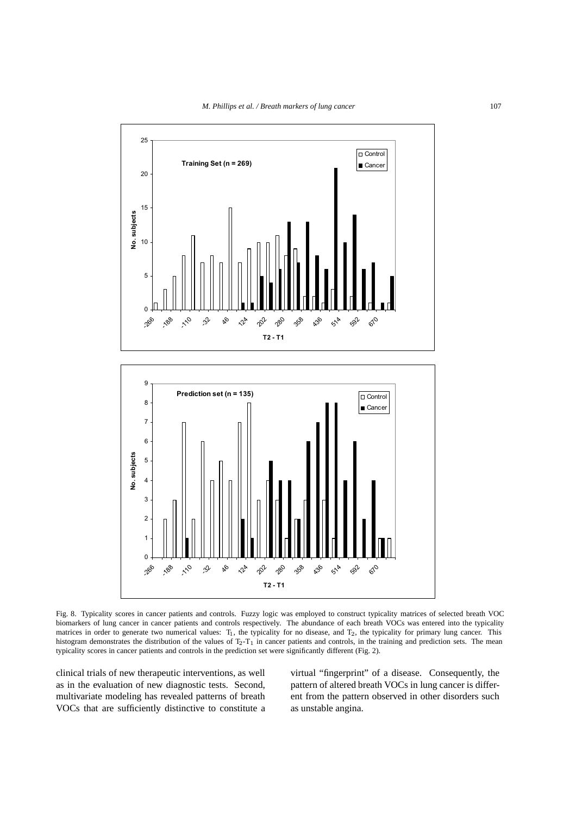

Fig. 8. Typicality scores in cancer patients and controls. Fuzzy logic was employed to construct typicality matrices of selected breath VOC biomarkers of lung cancer in cancer patients and controls respectively. The abundance of each breath VOCs was entered into the typicality matrices in order to generate two numerical values: T<sub>1</sub>, the typicality for no disease, and T<sub>2</sub>, the typicality for primary lung cancer. This histogram demonstrates the distribution of the values of  $T_2-T_1$  in cancer patients and controls, in the training and prediction sets. The mean typicality scores in cancer patients and controls in the prediction set were significantly different (Fig. 2).

clinical trials of new therapeutic interventions, as well as in the evaluation of new diagnostic tests. Second, multivariate modeling has revealed patterns of breath VOCs that are sufficiently distinctive to constitute a virtual "fingerprint" of a disease. Consequently, the pattern of altered breath VOCs in lung cancer is different from the pattern observed in other disorders such as unstable angina.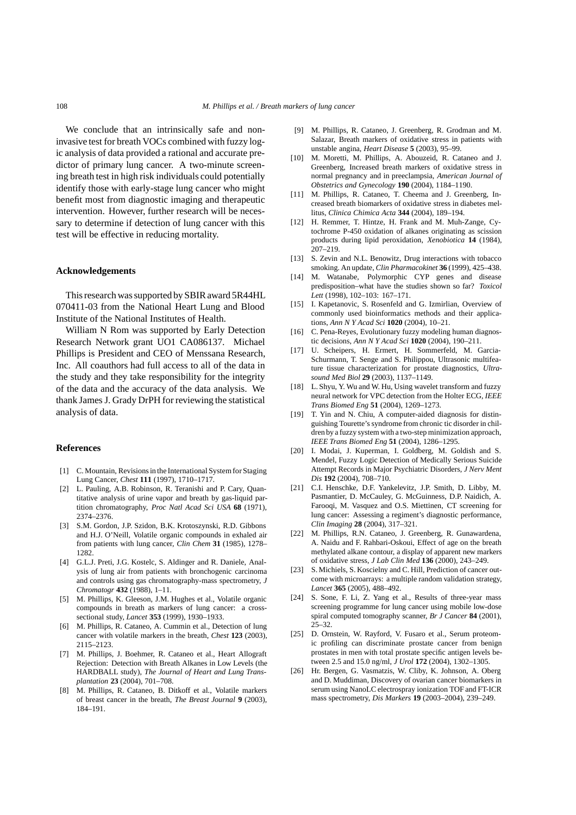We conclude that an intrinsically safe and noninvasive test for breath VOCs combined with fuzzy logic analysis of data provided a rational and accurate predictor of primary lung cancer. A two-minute screening breath test in high risk individuals could potentially identify those with early-stage lung cancer who might benefit most from diagnostic imaging and therapeutic intervention. However, further research will be necessary to determine if detection of lung cancer with this test will be effective in reducing mortality.

#### **Acknowledgements**

This research was supported by SBIR award 5R44HL 070411-03 from the National Heart Lung and Blood Institute of the National Institutes of Health.

William N Rom was supported by Early Detection Research Network grant UO1 CA086137. Michael Phillips is President and CEO of Menssana Research, Inc. All coauthors had full access to all of the data in the study and they take responsibility for the integrity of the data and the accuracy of the data analysis. We thank James J. Grady DrPH for reviewing the statistical analysis of data.

#### **References**

- [1] C. Mountain, Revisions in the International System for Staging Lung Cancer, *Chest* **111** (1997), 1710–1717.
- [2] L. Pauling, A.B. Robinson, R. Teranishi and P. Cary, Quantitative analysis of urine vapor and breath by gas-liquid partition chromatography, *Proc Natl Acad Sci USA* **68** (1971), 2374–2376.
- [3] S.M. Gordon, J.P. Szidon, B.K. Krotoszynski, R.D. Gibbons and H.J. O'Neill, Volatile organic compounds in exhaled air from patients with lung cancer, *Clin Chem* **31** (1985), 1278– 1282.
- [4] G.L.J. Preti, J.G. Kostelc, S. Aldinger and R. Daniele, Analysis of lung air from patients with bronchogenic carcinoma and controls using gas chromatography-mass spectrometry, *J Chromatogr* **432** (1988), 1–11.
- [5] M. Phillips, K. Gleeson, J.M. Hughes et al., Volatile organic compounds in breath as markers of lung cancer: a crosssectional study, *Lancet* **353** (1999), 1930–1933.
- [6] M. Phillips, R. Cataneo, A. Cummin et al., Detection of lung cancer with volatile markers in the breath, *Chest* **123** (2003), 2115–2123.
- [7] M. Phillips, J. Boehmer, R. Cataneo et al., Heart Allograft Rejection: Detection with Breath Alkanes in Low Levels (the HARDBALL study), *The Journal of Heart and Lung Transplantation* **23** (2004), 701–708.
- [8] M. Phillips, R. Cataneo, B. Ditkoff et al., Volatile markers of breast cancer in the breath, *The Breast Journal* **9** (2003), 184–191.
- [9] M. Phillips, R. Cataneo, J. Greenberg, R. Grodman and M. Salazar, Breath markers of oxidative stress in patients with unstable angina, *Heart Disease* **5** (2003), 95–99.
- [10] M. Moretti, M. Phillips, A. Abouzeid, R. Cataneo and J. Greenberg, Increased breath markers of oxidative stress in normal pregnancy and in preeclampsia, *American Journal of Obstetrics and Gynecology* **190** (2004), 1184–1190.
- [11] M. Phillips, R. Cataneo, T. Cheema and J. Greenberg, Increased breath biomarkers of oxidative stress in diabetes mellitus, *Clinica Chimica Acta* **344** (2004), 189–194.
- [12] H. Remmer, T. Hintze, H. Frank and M. Muh-Zange, Cytochrome P-450 oxidation of alkanes originating as scission products during lipid peroxidation, *Xenobiotica* **14** (1984), 207–219.
- [13] S. Zevin and N.L. Benowitz, Drug interactions with tobacco smoking. An update, *Clin Pharmacokinet* **36** (1999), 425–438.
- [14] M. Watanabe, Polymorphic CYP genes and disease predisposition–what have the studies shown so far? *Toxicol Lett* (1998), 102–103: 167–171.
- [15] I. Kapetanovic, S. Rosenfeld and G. Izmirlian, Overview of commonly used bioinformatics methods and their applications, *Ann N Y Acad Sci* **1020** (2004), 10–21.
- [16] C. Pena-Reyes, Evolutionary fuzzy modeling human diagnostic decisions, *Ann N Y Acad Sci* **1020** (2004), 190–211.
- [17] U. Scheipers, H. Ermert, H. Sommerfeld, M. Garcia-Schurmann, T. Senge and S. Philippou, Ultrasonic multifeature tissue characterization for prostate diagnostics, *Ultrasound Med Biol* **29** (2003), 1137–1149.
- [18] L. Shyu, Y. Wu and W. Hu, Using wavelet transform and fuzzy neural network for VPC detection from the Holter ECG, *IEEE Trans Biomed Eng* **51** (2004), 1269–1273.
- [19] T. Yin and N. Chiu, A computer-aided diagnosis for distinguishing Tourette's syndrome from chronic tic disorder in children by a fuzzy system with a two-step minimization approach, *IEEE Trans Biomed Eng* **51** (2004), 1286–1295.
- [20] I. Modai, J. Kuperman, I. Goldberg, M. Goldish and S. Mendel, Fuzzy Logic Detection of Medically Serious Suicide Attempt Records in Major Psychiatric Disorders, *J Nerv Ment Dis* **192** (2004), 708–710.
- [21] C.I. Henschke, D.F. Yankelevitz, J.P. Smith, D. Libby, M. Pasmantier, D. McCauley, G. McGuinness, D.P. Naidich, A. Farooqi, M. Vasquez and O.S. Miettinen, CT screening for lung cancer: Assessing a regiment's diagnostic performance, *Clin Imaging* **28** (2004), 317–321.
- [22] M. Phillips, R.N. Cataneo, J. Greenberg, R. Gunawardena, A. Naidu and F. Rahbari-Oskoui, Effect of age on the breath methylated alkane contour, a display of apparent new markers of oxidative stress, *J Lab Clin Med* **136** (2000), 243–249.
- [23] S. Michiels, S. Koscielny and C. Hill, Prediction of cancer outcome with microarrays: a multiple random validation strategy, *Lancet* **365** (2005), 488–492.
- [24] S. Sone, F. Li, Z. Yang et al., Results of three-year mass screening programme for lung cancer using mobile low-dose spiral computed tomography scanner, *Br J Cancer* **84** (2001), 25–32.
- [25] D. Ornstein, W. Rayford, V. Fusaro et al., Serum proteomic profiling can discriminate prostate cancer from benign prostates in men with total prostate specific antigen levels between 2.5 and 15.0 ng/ml, *J Urol* **172** (2004), 1302–1305.
- [26] Hr. Bergen, G. Vasmatzis, W. Cliby, K. Johnson, A. Oberg and D. Muddiman, Discovery of ovarian cancer biomarkers in serum using NanoLC electrospray ionization TOF and FT-ICR mass spectrometry, *Dis Markers* **19** (2003–2004), 239–249.